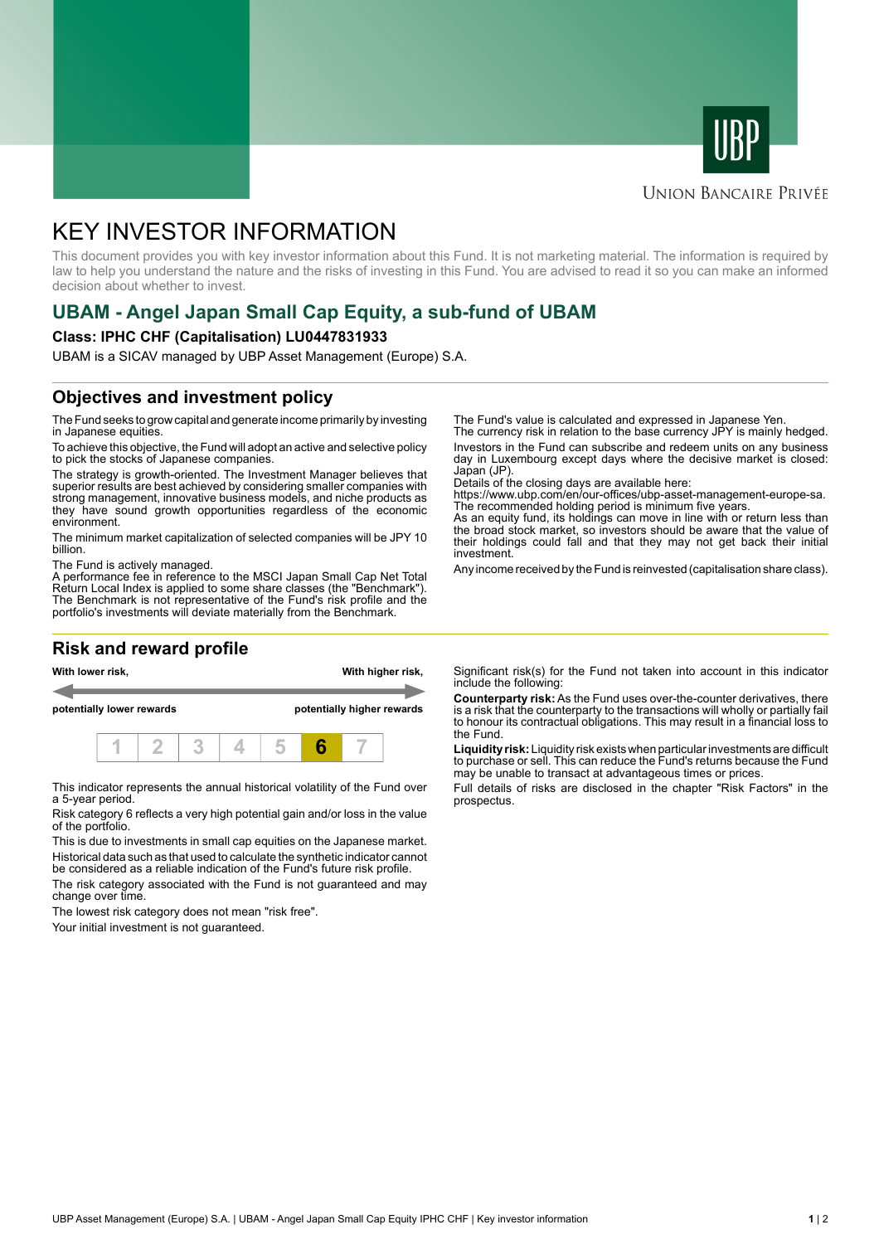



#### **UNION BANCAIRE PRIVÉE**

# KEY INVESTOR INFORMATION

This document provides you with key investor information about this Fund. It is not marketing material. The information is required by law to help you understand the nature and the risks of investing in this Fund. You are advised to read it so you can make an informed decision about whether to invest.

## **UBAM - Angel Japan Small Cap Equity, a sub-fund of UBAM**

#### **Class: IPHC CHF (Capitalisation) LU0447831933**

UBAM is a SICAV managed by UBP Asset Management (Europe) S.A.

### **Objectives and investment policy**

The Fund seeks to grow capital and generate income primarily by investing in Japanese equities.

To achieve this objective, the Fund will adopt an active and selective policy to pick the stocks of Japanese companies.

The strategy is growth-oriented. The Investment Manager believes that superior results are best achieved by considering smaller companies with strong management, innovative business models, and niche products as they have sound growth opportunities regardless of the economic environment.

The minimum market capitalization of selected companies will be JPY 10 billion.

The Fund is actively managed.

A performance fee in reference to the MSCI Japan Small Cap Net Total Return Local Index is applied to some share classes (the "Benchmark"). The Benchmark is not representative of the Fund's risk profile and the portfolio's investments will deviate materially from the Benchmark.

### **Risk and reward profile**



This indicator represents the annual historical volatility of the Fund over a 5-year period.

Risk category 6 reflects a very high potential gain and/or loss in the value of the portfolio.

This is due to investments in small cap equities on the Japanese market. Historical data such as that used to calculate the synthetic indicator cannot be considered as a reliable indication of the Fund's future risk profile.

The risk category associated with the Fund is not guaranteed and may change over time.

The lowest risk category does not mean "risk free".

Your initial investment is not guaranteed.

The Fund's value is calculated and expressed in Japanese Yen.

The currency risk in relation to the base currency JPY is mainly hedged. Investors in the Fund can subscribe and redeem units on any business day in Luxembourg except days where the decisive market is closed: Japan (JP)

Details of the closing days are available here:

https://www.ubp.com/en/our-offices/ubp-asset-management-europe-sa. The recommended holding period is minimum five years.

As an equity fund, its holdings can move in line with or return less than the broad stock market, so investors should be aware that the value of their holdings could fall and that they may not get back their initial investment.

Any income received by the Fund is reinvested (capitalisation share class).

Significant risk(s) for the Fund not taken into account in this indicator include the following:

**Counterparty risk:** As the Fund uses over-the-counter derivatives, there is a risk that the counterparty to the transactions will wholly or partially fail to honour its contractual obligations. This may result in a financial loss to the Fund.

**Liquidity risk:** Liquidity risk exists when particular investments are difficult to purchase or sell. This can reduce the Fund's returns because the Fund may be unable to transact at advantageous times or prices.

Full details of risks are disclosed in the chapter "Risk Factors" in the prospectus.